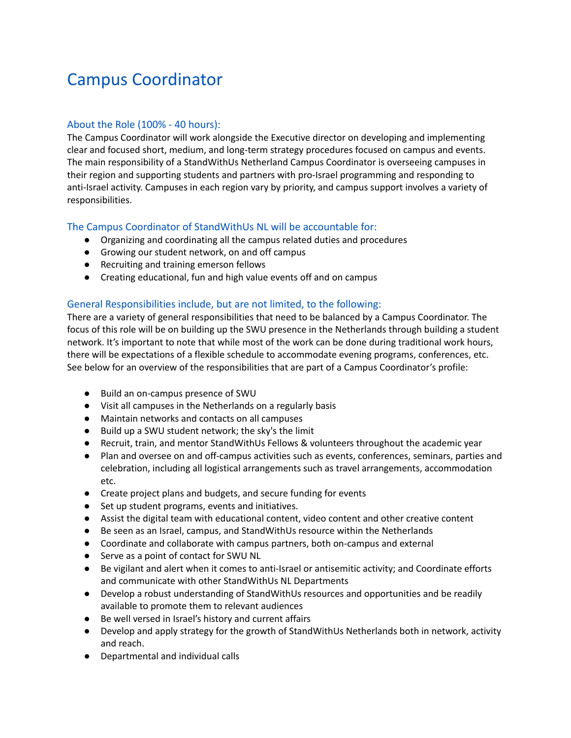# Campus Coordinator

## About the Role (100% - 40 hours):

The Campus Coordinator will work alongside the Executive director on developing and implementing clear and focused short, medium, and long-term strategy procedures focused on campus and events. The main responsibility of a StandWithUs Netherland Campus Coordinator is overseeing campuses in their region and supporting students and partners with pro-Israel programming and responding to anti-Israel activity. Campuses in each region vary by priority, and campus support involves a variety of responsibilities.

# The Campus Coordinator of StandWithUs NL will be accountable for:

- Organizing and coordinating all the campus related duties and procedures
- Growing our student network, on and off campus
- Recruiting and training emerson fellows
- Creating educational, fun and high value events off and on campus

# General Responsibilities include, but are not limited, to the following:

There are a variety of general responsibilities that need to be balanced by a Campus Coordinator. The focus of this role will be on building up the SWU presence in the Netherlands through building a student network. It's important to note that while most of the work can be done during traditional work hours, there will be expectations of a flexible schedule to accommodate evening programs, conferences, etc. See below for an overview of the responsibilities that are part of a Campus Coordinator's profile:

- Build an on-campus presence of SWU
- Visit all campuses in the Netherlands on a regularly basis
- Maintain networks and contacts on all campuses
- Build up a SWU student network; the sky's the limit
- Recruit, train, and mentor StandWithUs Fellows & volunteers throughout the academic year
- Plan and oversee on and off-campus activities such as events, conferences, seminars, parties and celebration, including all logistical arrangements such as travel arrangements, accommodation etc.
- Create project plans and budgets, and secure funding for events
- Set up student programs, events and initiatives.
- Assist the digital team with educational content, video content and other creative content
- Be seen as an Israel, campus, and StandWithUs resource within the Netherlands
- Coordinate and collaborate with campus partners, both on-campus and external
- Serve as a point of contact for SWU NL
- Be vigilant and alert when it comes to anti-Israel or antisemitic activity; and Coordinate efforts and communicate with other StandWithUs NL Departments
- Develop a robust understanding of StandWithUs resources and opportunities and be readily available to promote them to relevant audiences
- Be well versed in Israel's history and current affairs
- Develop and apply strategy for the growth of StandWithUs Netherlands both in network, activity and reach.
- Departmental and individual calls